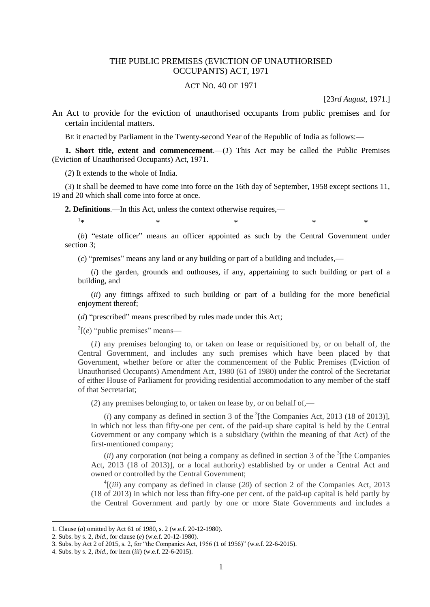## THE PUBLIC PREMISES (EVICTION OF UNAUTHORISED OCCUPANTS) ACT, 1971

## ACT NO. 40 OF 1971

[23*rd August*, 1971.]

An Act to provide for the eviction of unauthorised occupants from public premises and for certain incidental matters.

BE it enacted by Parliament in the Twenty-second Year of the Republic of India as follows:—

**1. Short title, extent and commencement**.— $(I)$  This Act may be called the Public Premises (Eviction of Unauthorised Occupants) Act, 1971.

(*2*) It extends to the whole of India.

(*3*) It shall be deemed to have come into force on the 16th day of September, 1958 except sections 11, 19 and 20 which shall come into force at once.

**2. Definitions**.—In this Act, unless the context otherwise requires,—

 $1 -$ 

 $*$  \*  $*$  \*  $*$  \*  $*$ 

(*b*) "estate officer" means an officer appointed as such by the Central Government under section 3;

(*c*) "premises" means any land or any building or part of a building and includes,—

(*i*) the garden, grounds and outhouses, if any, appertaining to such building or part of a building, and

(*ii*) any fittings affixed to such building or part of a building for the more beneficial enjoyment thereof;

(*d*) "prescribed" means prescribed by rules made under this Act;

 $2[(e)$  "public premises" means—

(*1*) any premises belonging to, or taken on lease or requisitioned by, or on behalf of, the Central Government, and includes any such premises which have been placed by that Government, whether before or after the commencement of the Public Premises (Eviction of Unauthorised Occupants) Amendment Act, 1980 (61 of 1980) under the control of the Secretariat of either House of Parliament for providing residential accommodation to any member of the staff of that Secretariat;

(*2*) any premises belonging to, or taken on lease by, or on behalf of,—

 $(i)$  any company as defined in section 3 of the  $3$ <sup>1</sup>[the Companies Act, 2013 (18 of 2013)], in which not less than fifty-one per cent. of the paid-up share capital is held by the Central Government or any company which is a subsidiary (within the meaning of that Act) of the first-mentioned company;

 $(ii)$  any corporation (not being a company as defined in section 3 of the  $3$ <sup>1</sup>[the Companies] Act, 2013 (18 of 2013)], or a local authority) established by or under a Central Act and owned or controlled by the Central Government;

 $\frac{4}{i}$  (*iii*) any company as defined in clause (20) of section 2 of the Companies Act, 2013 (18 of 2013) in which not less than fifty-one per cent. of the paid-up capital is held partly by the Central Government and partly by one or more State Governments and includes a

<sup>1.</sup> Clause (*a*) omitted by Act 61 of 1980, s. 2 (w.e.f. 20-12-1980).

<sup>2.</sup> Subs. by s. 2, *ibid*., for clause (*e*) (w.e.f. 20-12-1980).

<sup>3.</sup> Subs. by Act 2 of 2015, s. 2, for "the Companies Act, 1956 (1 of 1956)" (w.e.f. 22-6-2015).

<sup>4.</sup> Subs. by s. 2, *ibid*., for item (*iii*) (w.e.f. 22-6-2015).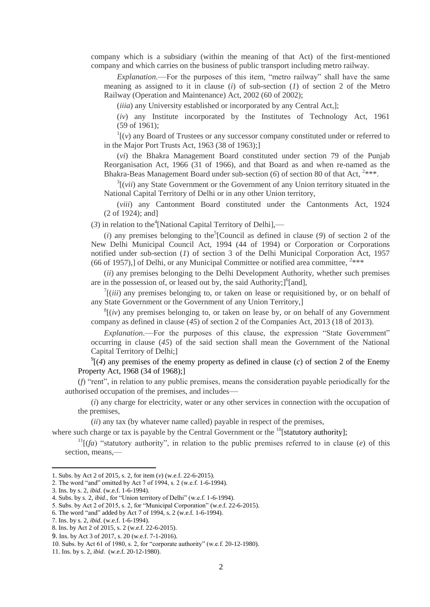company which is a subsidiary (within the meaning of that Act) of the first-mentioned company and which carries on the business of public transport including metro railway.

*Explanation*.—For the purposes of this item, "metro railway" shall have the same meaning as assigned to it in clause (*i*) of sub-section (*1*) of section 2 of the Metro Railway (Operation and Maintenance) Act, 2002 (60 of 2002);

(*iiia*) any University established or incorporated by any Central Act,];

(*iv*) any Institute incorporated by the Institutes of Technology Act, 1961 (59 of 1961);

 $\frac{1}{1}(v)$  any Board of Trustees or any successor company constituted under or referred to in the Major Port Trusts Act, 1963 (38 of 1963);]

(*vi*) the Bhakra Management Board constituted under section 79 of the Punjab Reorganisation Act, 1966 (31 of 1966), and that Board as and when re-named as the Bhakra-Beas Management Board under sub-section (6) of section 80 of that Act, <sup>2\*\*\*</sup>.

 $3$ [(*vii*) any State Government or the Government of any Union territory situated in the National Capital Territory of Delhi or in any other Union territory,

(*viii*) any Cantonment Board constituted under the Cantonments Act, 1924 (2 of 1924); and]

 $(3)$  in relation to the<sup>4</sup>[National Capital Territory of Delhi],—

 $(i)$  any premises belonging to the<sup>5</sup>[Council as defined in clause  $(9)$  of section 2 of the New Delhi Municipal Council Act, 1994 (44 of 1994) or Corporation or Corporations notified under sub-section (*1*) of section 3 of the Delhi Municipal Corporation Act, 1957 (66 of 1957),] of Delhi, or any Municipal Committee or notified area committee,  $2***$ 

(*ii*) any premises belonging to the Delhi Development Authority, whether such premises are in the possession of, or leased out by, the said Authority;]<sup>6</sup>[and],

 $\int$ <sup>7</sup>[(*iii*) any premises belonging to, or taken on lease or requisitioned by, or on behalf of any State Government or the Government of any Union Territory,]

 $<sup>8</sup>$ [(*iv*) any premises belonging to, or taken on lease by, or on behalf of any Government</sup> company as defined in clause (*45*) of section 2 of the Companies Act, 2013 (18 of 2013).

*Explanation*.—For the purposes of this clause, the expression "State Government" occurring in clause (*45*) of the said section shall mean the Government of the National Capital Territory of Delhi;]

 $\mathcal{O}(\ell(4)$  any premises of the enemy property as defined in clause (*c*) of section 2 of the Enemy Property Act, 1968 (34 of 1968);]

(*f*) "rent", in relation to any public premises, means the consideration payable periodically for the authorised occupation of the premises, and includes—

(*i*) any charge for electricity, water or any other services in connection with the occupation of the premises,

(*ii*) any tax (by whatever name called) payable in respect of the premises,

where such charge or tax is payable by the Central Government or the  $^{10}$ [statutory authority];

 $11$ <sup>[</sup>(*fa*) "statutory authority", in relation to the public premises referred to in clause (*e*) of this section, means,—

**.** 

11. Ins. by s. 2, *ibid.* (w.e.f. 20-12-1980).

<sup>1.</sup> Subs. by Act 2 of 2015, s. 2, for item (*v*) (w.e.f. 22-6-2015).

<sup>2.</sup> The word "and" omitted by Act 7 of 1994, s. 2 (w.e.f. 1-6-1994).

<sup>3.</sup> Ins. by s. 2, *ibid*. (w.e.f. 1-6-1994).

<sup>4.</sup> Subs. by s. 2, *ibid*., for "Union territory of Delhi" (w.e.f. 1-6-1994).

<sup>5.</sup> Subs. by Act 2 of 2015, s. 2, for "Municipal Corporation" (w.e.f. 22-6-2015).

<sup>6.</sup> The word "and" added by Act 7 of 1994, s. 2 (w.e.f. 1-6-1994).

<sup>7.</sup> Ins. by s. 2, *ibid*. (w.e.f. 1-6-1994).

<sup>8.</sup> Ins. by Act 2 of 2015, s. 2 (w.e.f. 22-6-2015).

<sup>9.</sup> Ins. by Act 3 of 2017, s. 20 (w.e.f. 7-1-2016).

<sup>10.</sup> Subs. by Act 61 of 1980, s. 2, for "corporate authority" (w.e.f. 20-12-1980).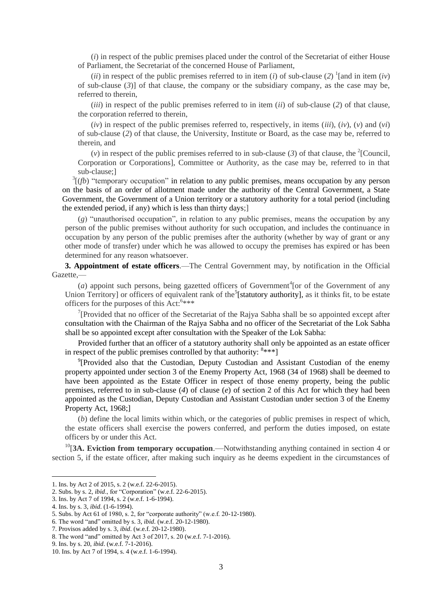(*i*) in respect of the public premises placed under the control of the Secretariat of either House of Parliament, the Secretariat of the concerned House of Parliament,

(*ii*) in respect of the public premises referred to in item (*i*) of sub-clause (2) <sup>1</sup>[and in item (*iv*) of sub-clause (*3*)] of that clause, the company or the subsidiary company, as the case may be, referred to therein,

(*iii*) in respect of the public premises referred to in item (*ii*) of sub-clause (*2*) of that clause, the corporation referred to therein,

 $(iv)$  in respect of the public premises referred to, respectively, in items  $(iii)$ ,  $(iv)$ ,  $(v)$  and  $(vi)$ of sub-clause (*2*) of that clause, the University, Institute or Board, as the case may be, referred to therein, and

(*v*) in respect of the public premises referred to in sub-clause (3) of that clause, the <sup>2</sup>[Council, Corporation or Corporations], Committee or Authority, as the case may be, referred to in that sub-clause;]

 $3\overline{(}f\overline{b})$  "temporary occupation" in relation to any public premises, means occupation by any person on the basis of an order of allotment made under the authority of the Central Government, a State Government, the Government of a Union territory or a statutory authority for a total period (including the extended period, if any) which is less than thirty days;]

(*g*) "unauthorised occupation", in relation to any public premises, means the occupation by any person of the public premises without authority for such occupation, and includes the continuance in occupation by any person of the public premises after the authority (whether by way of grant or any other mode of transfer) under which he was allowed to occupy the premises has expired or has been determined for any reason whatsoever.

**3. Appointment of estate officers**.—The Central Government may, by notification in the Official Gazette,—

 $(a)$  appoint such persons, being gazetted officers of Government<sup>4</sup> [or of the Government of any Union Territory] or officers of equivalent rank of the<sup>5</sup>[statutory authority], as it thinks fit, to be estate officers for the purposes of this Act:<sup>6\*\*\*\*</sup>

<sup>7</sup>[Provided that no officer of the Secretariat of the Rajya Sabha shall be so appointed except after consultation with the Chairman of the Rajya Sabha and no officer of the Secretariat of the Lok Sabha shall be so appointed except after consultation with the Speaker of the Lok Sabha:

Provided further that an officer of a statutory authority shall only be appointed as an estate officer in respect of the public premises controlled by that authority:  $8***$ ]

<sup>9</sup>[Provided also that the Custodian, Deputy Custodian and Assistant Custodian of the enemy property appointed under section 3 of the Enemy Property Act, 1968 (34 of 1968) shall be deemed to have been appointed as the Estate Officer in respect of those enemy property, being the public premises, referred to in sub-clause (*4*) of clause (*e*) of section 2 of this Act for which they had been appointed as the Custodian, Deputy Custodian and Assistant Custodian under section 3 of the Enemy Property Act, 1968;]

(*b*) define the local limits within which, or the categories of public premises in respect of which, the estate officers shall exercise the powers conferred, and perform the duties imposed, on estate officers by or under this Act.

<sup>10</sup>[3A. Eviction from temporary occupation.—Notwithstanding anything contained in section 4 or section 5, if the estate officer, after making such inquiry as he deems expedient in the circumstances of

 $\overline{a}$ 

<sup>1.</sup> Ins. by Act 2 of 2015, s. 2 (w.e.f. 22-6-2015).

<sup>2.</sup> Subs. by s. 2, *ibid*., for "Corporation" (w.e.f. 22-6-2015).

<sup>3.</sup> Ins. by Act 7 of 1994, s. 2 (w.e.f. 1-6-1994).

<sup>4.</sup> Ins. by s. 3, *ibid*. (1-6-1994).

<sup>5.</sup> Subs. by Act 61 of 1980, s. 2, for "corporate authority" (w.e.f. 20-12-1980).

<sup>6.</sup> The word "and" omitted by s. 3, *ibid*. (w.e.f. 20-12-1980).

<sup>7.</sup> Provisos added by s. 3, *ibid*. (w.e.f. 20-12-1980).

<sup>8.</sup> The word "and" omitted by Act 3 of 2017, s. 20 (w.e.f. 7-1-2016).

<sup>9.</sup> Ins. by s. 20, *ibid*. (w.e.f. 7-1-2016).

<sup>10.</sup> Ins. by Act 7 of 1994, s. 4 (w.e.f. 1-6-1994).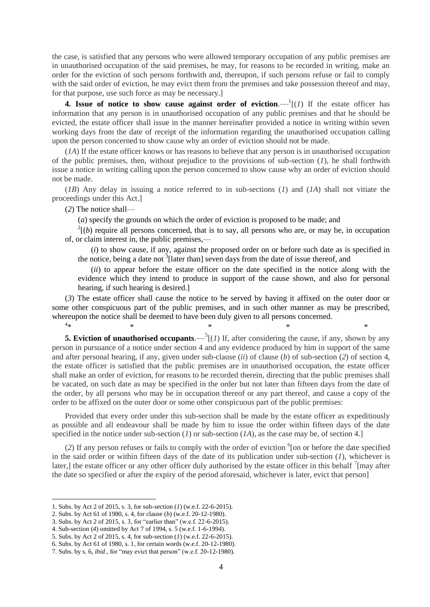the case, is satisfied that any persons who were allowed temporary occupation of any public premises are in unauthorised occupation of the said premises, he may, for reasons to be recorded in writing, make an order for the eviction of such persons forthwith and, thereupon, if such persons refuse or fail to comply with the said order of eviction, he may evict them from the premises and take possession thereof and may, for that purpose, use such force as may be necessary.]

**4.** Issue of notice to show cause against order of eviction.  $\frac{1}{1}(1)$  If the estate officer has information that any person is in unauthorised occupation of any public premises and that he should be evicted, the estate officer shall issue in the manner hereinafter provided a notice in writing within seven working days from the date of receipt of the information regarding the unauthorised occupation calling upon the person concerned to show cause why an order of eviction should not be made.

(*1A*) If the estate officer knows or has reasons to believe that any person is in unauthorised occupation of the public premises, then, without prejudice to the provisions of sub-section (*1*), he shall forthwith issue a notice in writing calling upon the person concerned to show cause why an order of eviction should not be made.

(*1B*) Any delay in issuing a notice referred to in sub-sections (*1*) and (*1A*) shall not vitiate the proceedings under this Act.]

(*2*) The notice shall—

(*a*) specify the grounds on which the order of eviction is proposed to be made; and

 $2^{2}$ [(*b*) require all persons concerned, that is to say, all persons who are, or may be, in occupation of, or claim interest in, the public premises,—

(*i*) to show cause, if any, against the proposed order on or before such date as is specified in the notice, being a date not  $\frac{3}{3}$ [later than] seven days from the date of issue thereof, and

(*ii*) to appear before the estate officer on the date specified in the notice along with the evidence which they intend to produce in support of the cause shown, and also for personal hearing, if such hearing is desired.]

(*3*) The estate officer shall cause the notice to be served by having it affixed on the outer door or some other conspicuous part of the public premises, and in such other manner as may be prescribed, whereupon the notice shall be deemed to have been duly given to all persons concerned.  $4*$ 

 $*$   $*$   $*$   $*$   $*$   $*$ 

**5. Eviction of unauthorised occupants**.  $-\frac{5}{1}$  (*1*) If, after considering the cause, if any, shown by any person in pursuance of a notice under section 4 and any evidence produced by him in support of the same and after personal hearing, if any, given under sub-clause (*ii*) of clause (*b*) of sub-section (*2*) of section 4, the estate officer is satisfied that the public premises are in unauthorised occupation, the estate officer shall make an order of eviction, for reasons to be recorded therein, directing that the public premises shall be vacated, on such date as may be specified in the order but not later than fifteen days from the date of the order, by all persons who may be in occupation thereof or any part thereof, and cause a copy of the order to be affixed on the outer door or some other conspicuous part of the public premises:

Provided that every order under this sub-section shall be made by the estate officer as expeditiously as possible and all endeavour shall be made by him to issue the order within fifteen days of the date specified in the notice under sub-section (*1*) or sub-section (*IA*), as the case may be, of section 4.]

 $(2)$  If any person refuses or fails to comply with the order of eviction  $\delta$  [on or before the date specified in the said order or within fifteen days of the date of its publication under sub-section (*1*), whichever is later,] the estate officer or any other officer duly authorised by the estate officer in this behalf  $\frac{7}{1}$ [may after the date so specified or after the expiry of the period aforesaid, whichever is later, evict that person]

1

<sup>1.</sup> Subs. by Act 2 of 2015, s. 3, for sub-section (*1*) (w.e.f. 22-6-2015).

<sup>2.</sup> Subs. by Act 61 of 1980, s. 4, for clause (*b*) (w.e.f. 20-12-1980).

<sup>3.</sup> Subs. by Act 2 of 2015, s. 3, for "earlier than" (w.e.f. 22-6-2015).

<sup>4.</sup> Sub-section (*4*) omitted by Act 7 of 1994, s. 5 (w.e.f. 1-6-1994).

<sup>5.</sup> Subs. by Act 2 of 2015, s. 4, for sub-section (*1*) (w.e.f. 22-6-2015).

<sup>6.</sup> Subs. by Act 61 of 1980, s. 1, for certain words (w.e.f. 20-12-1980).

<sup>7.</sup> Subs. by s. 6, *ibid*., for "may evict that person" (w.e.f. 20-12-1980).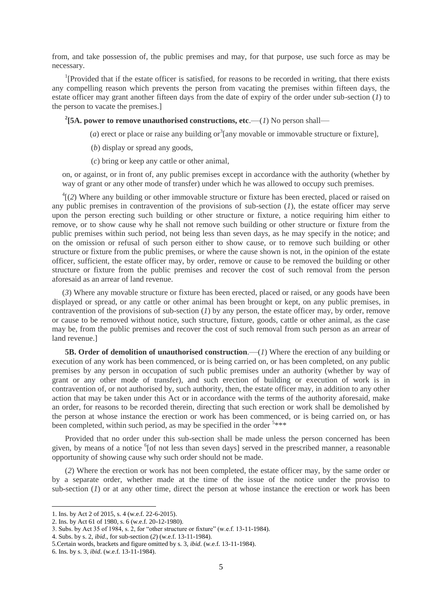from, and take possession of, the public premises and may, for that purpose, use such force as may be necessary.

<sup>1</sup>[Provided that if the estate officer is satisfied, for reasons to be recorded in writing, that there exists any compelling reason which prevents the person from vacating the premises within fifteen days, the estate officer may grant another fifteen days from the date of expiry of the order under sub-section (*1*) to the person to vacate the premises.]

<sup>2</sup>[5A. power to remove unauthorised constructions, etc.— $(I)$  No person shall—

- (*a*) erect or place or raise any building or  $3$  [any movable or immovable structure or fixture],
	- (*b*) display or spread any goods,
	- (*c*) bring or keep any cattle or other animal,

on, or against, or in front of, any public premises except in accordance with the authority (whether by way of grant or any other mode of transfer) under which he was allowed to occupy such premises.

 ${}^{4}$ [(2) Where any building or other immovable structure or fixture has been erected, placed or raised on any public premises in contravention of the provisions of sub-section (*1*), the estate officer may serve upon the person erecting such building or other structure or fixture, a notice requiring him either to remove, or to show cause why he shall not remove such building or other structure or fixture from the public premises within such period, not being less than seven days, as he may specify in the notice; and on the omission or refusal of such person either to show cause, or to remove such building or other structure or fixture from the public premises, or where the cause shown is not, in the opinion of the estate officer, sufficient, the estate officer may, by order, remove or cause to be removed the building or other structure or fixture from the public premises and recover the cost of such removal from the person aforesaid as an arrear of land revenue.

(*3*) Where any movable structure or fixture has been erected, placed or raised, or any goods have been displayed or spread, or any cattle or other animal has been brought or kept, on any public premises, in contravention of the provisions of sub-section (*1*) by any person, the estate officer may, by order, remove or cause to be removed without notice, such structure, fixture, goods, cattle or other animal, as the case may be, from the public premises and recover the cost of such removal from such person as an arrear of land revenue.]

**5B. Order of demolition of unauthorised construction.—(***1***) Where the erection of any building or** execution of any work has been commenced, or is being carried on, or has been completed, on any public premises by any person in occupation of such public premises under an authority (whether by way of grant or any other mode of transfer), and such erection of building or execution of work is in contravention of, or not authorised by, such authority, then, the estate officer may, in addition to any other action that may be taken under this Act or in accordance with the terms of the authority aforesaid, make an order, for reasons to be recorded therein, directing that such erection or work shall be demolished by the person at whose instance the erection or work has been commenced, or is being carried on, or has been completed, within such period, as may be specified in the order  $5***$ 

Provided that no order under this sub-section shall be made unless the person concerned has been given, by means of a notice <sup>6</sup>[of not less than seven days] served in the prescribed manner, a reasonable opportunity of showing cause why such order should not be made.

(*2*) Where the erection or work has not been completed, the estate officer may, by the same order or by a separate order, whether made at the time of the issue of the notice under the proviso to sub-section (*1*) or at any other time, direct the person at whose instance the erection or work has been

<sup>1.</sup> Ins. by Act 2 of 2015, s. 4 (w.e.f. 22-6-2015).

<sup>2.</sup> Ins. by Act 61 of 1980, s. 6 (w.e.f. 20-12-1980).

<sup>3.</sup> Subs. by Act 35 of 1984, s. 2, for "other structure or fixture" (w.e.f. 13-11-1984).

<sup>4.</sup> Subs. by s. 2, *ibid*., for sub-section (*2*) (w.e.f. 13-11-1984).

<sup>5.</sup>Certain words, brackets and figure omitted by s. 3, *ibid*. (w.e.f. 13-11-1984).

<sup>6.</sup> Ins. by s. 3, *ibid*. (w.e.f. 13-11-1984).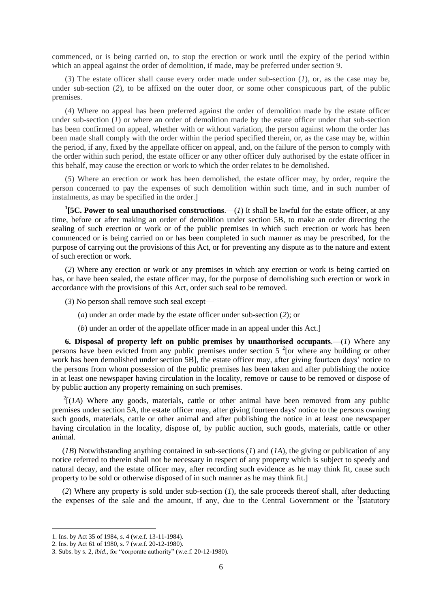commenced, or is being carried on, to stop the erection or work until the expiry of the period within which an appeal against the order of demolition, if made, may be preferred under section 9.

(*3*) The estate officer shall cause every order made under sub-section (*1*), or, as the case may be, under sub-section (*2*), to be affixed on the outer door, or some other conspicuous part, of the public premises.

(*4*) Where no appeal has been preferred against the order of demolition made by the estate officer under sub-section (*1*) or where an order of demolition made by the estate officer under that sub-section has been confirmed on appeal, whether with or without variation, the person against whom the order has been made shall comply with the order within the period specified therein, or, as the case may be, within the period, if any, fixed by the appellate officer on appeal, and, on the failure of the person to comply with the order within such period, the estate officer or any other officer duly authorised by the estate officer in this behalf, may cause the erection or work to which the order relates to be demolished.

(*5*) Where an erection or work has been demolished, the estate officer may, by order, require the person concerned to pay the expenses of such demolition within such time, and in such number of instalments, as may be specified in the order.]

<sup>1</sup>[5C. Power to seal unauthorised constructions.—(*1*) It shall be lawful for the estate officer, at any time, before or after making an order of demolition under section 5B, to make an order directing the sealing of such erection or work or of the public premises in which such erection or work has been commenced or is being carried on or has been completed in such manner as may be prescribed, for the purpose of carrying out the provisions of this Act, or for preventing any dispute as to the nature and extent of such erection or work.

(*2*) Where any erection or work or any premises in which any erection or work is being carried on has, or have been sealed, the estate officer may, for the purpose of demolishing such erection or work in accordance with the provisions of this Act, order such seal to be removed.

(*3*) No person shall remove such seal except—

(*a*) under an order made by the estate officer under sub-section (*2*); or

(*b*) under an order of the appellate officer made in an appeal under this Act.]

**6. Disposal of property left on public premises by unauthorised occupants**.—(*1*) Where any persons have been evicted from any public premises under section  $5<sup>2</sup>$  [or where any building or other work has been demolished under section 5BL the estate officer may, after giving fourteen days, notice to the persons from whom possession of the public premises has been taken and after publishing the notice in at least one newspaper having circulation in the locality, remove or cause to be removed or dispose of by public auction any property remaining on such premises.

 $2[(1A)$  Where any goods, materials, cattle or other animal have been removed from any public premises under section 5A, the estate officer may, after giving fourteen days' notice to the persons owning such goods, materials, cattle or other animal and after publishing the notice in at least one newspaper having circulation in the locality, dispose of, by public auction, such goods, materials, cattle or other animal.

(*1B*) Notwithstanding anything contained in sub-sections (*1*) and (*1A*), the giving or publication of any notice referred to therein shall not be necessary in respect of any property which is subject to speedy and natural decay, and the estate officer may, after recording such evidence as he may think fit, cause such property to be sold or otherwise disposed of in such manner as he may think fit.]

(*2*) Where any property is sold under sub-section (*1*), the sale proceeds thereof shall, after deducting the expenses of the sale and the amount, if any, due to the Central Government or the  $3$ [statutory]

<sup>1.</sup> Ins. by Act 35 of 1984, s. 4 (w.e.f. 13-11-1984).

<sup>2.</sup> Ins. by Act 61 of 1980, s. 7 (w.e.f. 20-12-1980).

<sup>3.</sup> Subs. by s. 2, *ibid*., for "corporate authority" (w.e.f. 20-12-1980).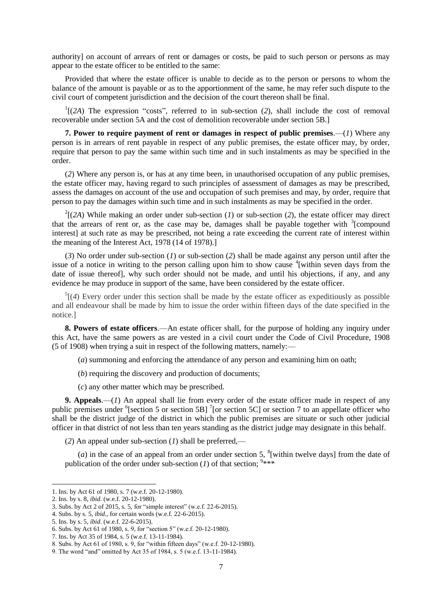authority] on account of arrears of rent or damages or costs, be paid to such person or persons as may appear to the estate officer to be entitled to the same:

Provided that where the estate officer is unable to decide as to the person or persons to whom the balance of the amount is payable or as to the apportionment of the same, he may refer such dispute to the civil court of competent jurisdiction and the decision of the court thereon shall be final.

 $1$ [(2A) The expression "costs", referred to in sub-section (2), shall include the cost of removal recoverable under section 5A and the cost of demolition recoverable under section 5B.]

**7. Power to require payment of rent or damages in respect of public premises**.—(*1*) Where any person is in arrears of rent payable in respect of any public premises, the estate officer may, by order, require that person to pay the same within such time and in such instalments as may be specified in the order.

(*2*) Where any person is, or has at any time been, in unauthorised occupation of any public premises, the estate officer may, having regard to such principles of assessment of damages as may be prescribed, assess the damages on account of the use and occupation of such premises and may, by order, require that person to pay the damages within such time and in such instalments as may be specified in the order.

 $2^{2}$ [(2A) While making an order under sub-section (*1*) or sub-section (2), the estate officer may direct that the arrears of rent or, as the case may be, damages shall be payable together with  $\frac{3}{2}$  [compound interest] at such rate as may be prescribed, not being a rate exceeding the current rate of interest within the meaning of the Interest Act, 1978 (14 of 1978).]

(*3*) No order under sub-section (*1*) or sub-section (*2*) shall be made against any person until after the issue of a notice in writing to the person calling upon him to show cause  $\frac{4}{3}$  within seven days from the date of issue thereof], why such order should not be made, and until his objections, if any, and any evidence he may produce in support of the same, have been considered by the estate officer.

 $<sup>5</sup>$ [(4) Every order under this section shall be made by the estate officer as expeditiously as possible</sup> and all endeavour shall be made by him to issue the order within fifteen days of the date specified in the notice.]

**8. Powers of estate officers**.—An estate officer shall, for the purpose of holding any inquiry under this Act, have the same powers as are vested in a civil court under the Code of Civil Procedure, 1908 (5 of 1908) when trying a suit in respect of the following matters, namely:—

(*a*) summoning and enforcing the attendance of any person and examining him on oath;

(*b*) requiring the discovery and production of documents;

(*c*) any other matter which may be prescribed.

**9. Appeals**.—(*1*) An appeal shall lie from every order of the estate officer made in respect of any public premises under <sup>6</sup>[section 5 or section 5B] <sup>7</sup>[or section 5C] or section 7 to an appellate officer who shall be the district judge of the district in which the public premises are situate or such other judicial officer in that district of not less than ten years standing as the district judge may designate in this behalf.

(*2*) An appeal under sub-section (*1*) shall be preferred,—

(*a*) in the case of an appeal from an order under section 5,  $\frac{8}{3}$  [within twelve days] from the date of publication of the order under sub-section  $(I)$  of that section; <sup>9\*\*\*</sup>

<sup>1.</sup> Ins. by Act 61 of 1980, s. 7 (w.e.f. 20-12-1980).

<sup>2.</sup> Ins. by s. 8, *ibid*. (w.e.f. 20-12-1980).

<sup>3.</sup> Subs. by Act 2 of 2015, s. 5, for "simple interest" (w.e.f. 22-6-2015).

<sup>4.</sup> Subs. by s. 5, *ibid*., for certain words (w.e.f. 22-6-2015).

<sup>5.</sup> Ins. by s. 5, *ibid*. (w.e.f. 22-6-2015).

<sup>6.</sup> Subs. by Act 61 of 1980, s. 9, for "section 5" (w.e.f. 20-12-1980).

<sup>7.</sup> Ins. by Act 35 of 1984, s. 5 (w.e.f. 13-11-1984).

<sup>8.</sup> Subs. by Act 61 of 1980, s. 9, for "within fifteen days" (w.e.f. 20-12-1980).

<sup>9.</sup> The word "and" omitted by Act 35 of 1984, s. 5 (w.e.f. 13-11-1984).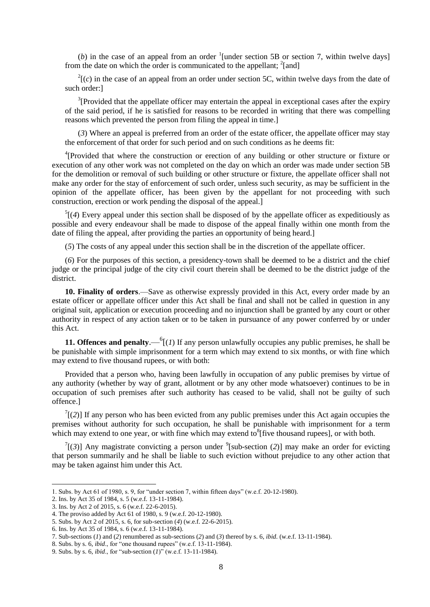(b) in the case of an appeal from an order  $\frac{1}{2}$  [under section 5B or section 7, within twelve days] from the date on which the order is communicated to the appellant; <sup>2</sup>[and]

 $2\cdot$  (*c*) in the case of an appeal from an order under section 5C, within twelve days from the date of such order:]

 $3$ [Provided that the appellate officer may entertain the appeal in exceptional cases after the expiry of the said period, if he is satisfied for reasons to be recorded in writing that there was compelling reasons which prevented the person from filing the appeal in time.]

(*3*) Where an appeal is preferred from an order of the estate officer, the appellate officer may stay the enforcement of that order for such period and on such conditions as he deems fit:

<sup>4</sup>[Provided that where the construction or erection of any building or other structure or fixture or execution of any other work was not completed on the day on which an order was made under section 5B for the demolition or removal of such building or other structure or fixture, the appellate officer shall not make any order for the stay of enforcement of such order, unless such security, as may be sufficient in the opinion of the appellate officer, has been given by the appellant for not proceeding with such construction, erection or work pending the disposal of the appeal.]

 $<sup>5</sup>$ [(4) Every appeal under this section shall be disposed of by the appellate officer as expeditiously as</sup> possible and every endeavour shall be made to dispose of the appeal finally within one month from the date of filing the appeal, after providing the parties an opportunity of being heard.]

(*5*) The costs of any appeal under this section shall be in the discretion of the appellate officer.

(*6*) For the purposes of this section, a presidency-town shall be deemed to be a district and the chief judge or the principal judge of the city civil court therein shall be deemed to be the district judge of the district.

**10. Finality of orders**.—Save as otherwise expressly provided in this Act, every order made by an estate officer or appellate officer under this Act shall be final and shall not be called in question in any original suit, application or execution proceeding and no injunction shall be granted by any court or other authority in respect of any action taken or to be taken in pursuance of any power conferred by or under this Act.

**11. Offences and penalty.**  $\int_{0}^{6} (1)$  If any person unlawfully occupies any public premises, he shall be be punishable with simple imprisonment for a term which may extend to six months, or with fine which may extend to five thousand rupees, or with both:

Provided that a person who, having been lawfully in occupation of any public premises by virtue of any authority (whether by way of grant, allotment or by any other mode whatsoever) continues to be in occupation of such premises after such authority has ceased to be valid, shall not be guilty of such offence.]

 $T(2)$ ] If any person who has been evicted from any public premises under this Act again occupies the premises without authority for such occupation, he shall be punishable with imprisonment for a term which may extend to one year, or with fine which may extend to  $\delta$  five thousand rupees], or with both.

 $T$ [(3)] Any magistrate convicting a person under <sup>9</sup>[sub-section (2)] may make an order for evicting that person summarily and he shall be liable to such eviction without prejudice to any other action that may be taken against him under this Act.

<sup>1.</sup> Subs. by Act 61 of 1980, s. 9, for "under section 7, within fifteen days" (w.e.f. 20-12-1980).

<sup>2.</sup> Ins. by Act 35 of 1984, s. 5 (w.e.f. 13-11-1984).

<sup>3.</sup> Ins. by Act 2 of 2015, s. 6 (w.e.f. 22-6-2015).

<sup>4.</sup> The proviso added by Act 61 of 1980, s. 9 (w.e.f. 20-12-1980).

<sup>5.</sup> Subs. by Act 2 of 2015, s. 6, for sub-section (*4*) (w.e.f. 22-6-2015).

<sup>6.</sup> Ins. by Act 35 of 1984, s. 6 (w.e.f. 13-11-1984).

<sup>7.</sup> Sub-sections (*1*) and (*2*) renumbered as sub-sections (*2*) and (*3*) thereof by s. 6, *ibid*. (w.e.f. 13-11-1984).

<sup>8.</sup> Subs. by s. 6, *ibid*., for "one thousand rupees" (w.e.f. 13-11-1984).

<sup>9.</sup> Subs. by s. 6, *ibid*., for "sub-section (*1*)" (w.e.f. 13-11-1984).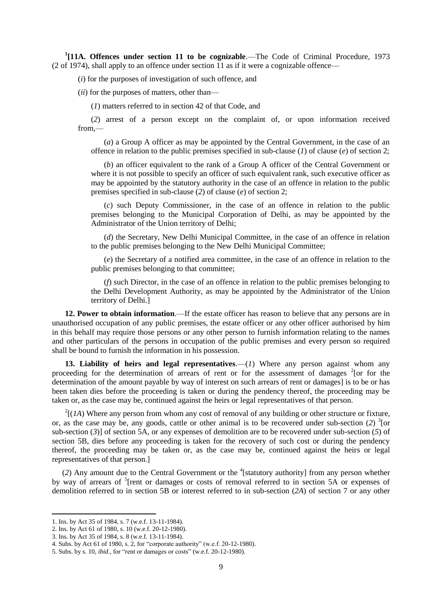<sup>1</sup>[11A. Offences under section 11 to be cognizable.—The Code of Criminal Procedure, 1973 (2 of 1974), shall apply to an offence under section 11 as if it were a cognizable offence—

(*i*) for the purposes of investigation of such offence, and

(*ii*) for the purposes of matters, other than—

(*1*) matters referred to in section 42 of that Code, and

(*2*) arrest of a person except on the complaint of, or upon information received from,—

(*a*) a Group A officer as may be appointed by the Central Government, in the case of an offence in relation to the public premises specified in sub-clause (*1*) of clause (*e*) of section 2;

(*b*) an officer equivalent to the rank of a Group A officer of the Central Government or where it is not possible to specify an officer of such equivalent rank, such executive officer as may be appointed by the statutory authority in the case of an offence in relation to the public premises specified in sub-clause (*2*) of clause (*e*) of section 2;

(*c*) such Deputy Commissioner, in the case of an offence in relation to the public premises belonging to the Municipal Corporation of Delhi, as may be appointed by the Administrator of the Union territory of Delhi;

(*d*) the Secretary, New Delhi Municipal Committee, in the case of an offence in relation to the public premises belonging to the New Delhi Municipal Committee;

(*e*) the Secretary of a notified area committee, in the case of an offence in relation to the public premises belonging to that committee;

(*f*) such Director, in the case of an offence in relation to the public premises belonging to the Delhi Development Authority, as may be appointed by the Administrator of the Union territory of Delhi.]

**12. Power to obtain information**.—If the estate officer has reason to believe that any persons are in unauthorised occupation of any public premises, the estate officer or any other officer authorised by him in this behalf may require those persons or any other person to furnish information relating to the names and other particulars of the persons in occupation of the public premises and every person so required shall be bound to furnish the information in his possession.

13. Liability of heirs and legal representatives.—(1) Where any person against whom any proceeding for the determination of arrears of rent or for the assessment of damages <sup>2</sup> [or for the determination of the amount payable by way of interest on such arrears of rent or damages] is to be or has been taken dies before the proceeding is taken or during the pendency thereof, the proceeding may be taken or, as the case may be, continued against the heirs or legal representatives of that person.

 $2[(1A)$  Where any person from whom any cost of removal of any building or other structure or fixture, or, as the case may be, any goods, cattle or other animal is to be recovered under sub-section  $(2)^3$  [or sub-section (*3*)] of section 5A, or any expenses of demolition are to be recovered under sub-section (*5*) of section 5B, dies before any proceeding is taken for the recovery of such cost or during the pendency thereof, the proceeding may be taken or, as the case may be, continued against the heirs or legal representatives of that person.]

(2) Any amount due to the Central Government or the <sup>4</sup>[statutory authority] from any person whether by way of arrears of <sup>5</sup>[rent or damages or costs of removal referred to in section 5A or expenses of demolition referred to in section 5B or interest referred to in sub-section (*2A*) of section 7 or any other

1

<sup>1.</sup> Ins. by Act 35 of 1984, s. 7 (w.e.f. 13-11-1984).

<sup>2.</sup> Ins. by Act 61 of 1980, s. 10 (w.e.f. 20-12-1980).

<sup>3.</sup> Ins. by Act 35 of 1984, s. 8 (w.e.f. 13-11-1984).

<sup>4.</sup> Subs. by Act 61 of 1980, s. 2, for "corporate authority" (w.e.f. 20-12-1980).

<sup>5.</sup> Subs. by s. 10, *ibid*., for "rent or damages or costs" (w.e.f. 20-12-1980).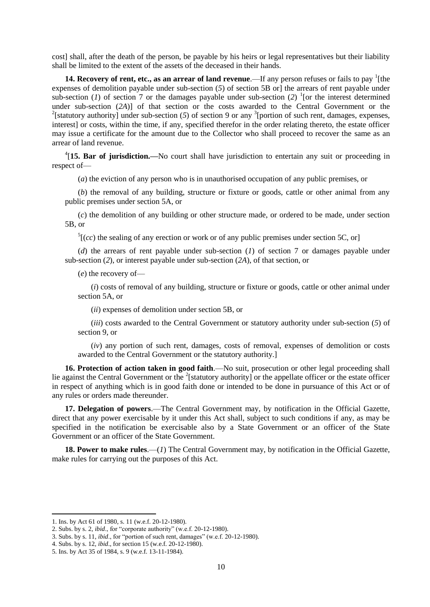cost] shall, after the death of the person, be payable by his heirs or legal representatives but their liability shall be limited to the extent of the assets of the deceased in their hands.

**14. Recovery of rent, etc., as an arrear of land revenue**.—If any person refuses or fails to pay <sup>1</sup>[the expenses of demolition payable under sub-section (*5*) of section 5B or] the arrears of rent payable under sub-section (*1*) of section 7 or the damages payable under sub-section (2) <sup>1</sup>[or the interest determined under sub-section (*2A*)] of that section or the costs awarded to the Central Government or the <sup>2</sup>[statutory authority] under sub-section (5) of section 9 or any <sup>3</sup>[portion of such rent, damages, expenses, interest] or costs, within the time, if any, specified therefor in the order relating thereto, the estate officer may issue a certificate for the amount due to the Collector who shall proceed to recover the same as an arrear of land revenue.

<sup>4</sup>[15. Bar of jurisdiction.—No court shall have jurisdiction to entertain any suit or proceeding in respect of—

(*a*) the eviction of any person who is in unauthorised occupation of any public premises, or

(*b*) the removal of any building, structure or fixture or goods, cattle or other animal from any public premises under section 5A, or

(*c*) the demolition of any building or other structure made, or ordered to be made, under section 5B, or

 $<sup>5</sup>[(cc)$  the sealing of any erection or work or of any public premises under section 5C, or]</sup>

(*d*) the arrears of rent payable under sub-section (*1*) of section 7 or damages payable under sub-section (*2*), or interest payable under sub-section (*2A*), of that section, or

(*e*) the recovery of—

(*i*) costs of removal of any building, structure or fixture or goods, cattle or other animal under section 5A, or

(*ii*) expenses of demolition under section 5B, or

(*iii*) costs awarded to the Central Government or statutory authority under sub-section (*5*) of section 9, or

(*iv*) any portion of such rent, damages, costs of removal, expenses of demolition or costs awarded to the Central Government or the statutory authority.]

**16. Protection of action taken in good faith**.—No suit, prosecution or other legal proceeding shall lie against the Central Government or the  $2$ [statutory authority] or the appellate officer or the estate officer in respect of anything which is in good faith done or intended to be done in pursuance of this Act or of any rules or orders made thereunder.

**17. Delegation of powers**.—The Central Government may, by notification in the Official Gazette, direct that any power exercisable by it under this Act shall, subject to such conditions if any, as may be specified in the notification be exercisable also by a State Government or an officer of the State Government or an officer of the State Government.

**18. Power to make rules**.—(*1*) The Central Government may, by notification in the Official Gazette, make rules for carrying out the purposes of this Act.

1

<sup>1.</sup> Ins. by Act 61 of 1980, s. 11 (w.e.f. 20-12-1980).

<sup>2.</sup> Subs. by s. 2, *ibid*., for "corporate authority" (w.e.f. 20-12-1980).

<sup>3.</sup> Subs. by s. 11, *ibid*., for "portion of such rent, damages" (w.e.f. 20-12-1980).

<sup>4.</sup> Subs. by s. 12, *ibid*., for section 15 (w.e.f. 20-12-1980).

<sup>5.</sup> Ins. by Act 35 of 1984, s. 9 (w.e.f. 13-11-1984).